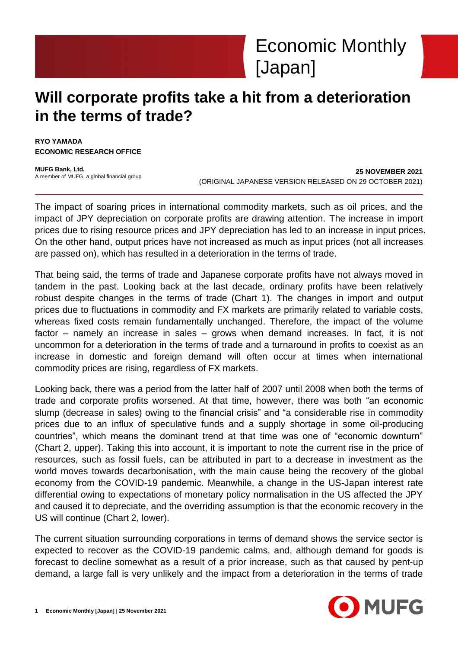# **Will corporate profits take a hit from a deterioration in the terms of trade?**

**RYO YAMADA ECONOMIC RESEARCH OFFICE**

**MUFG Bank, Ltd.** A member of MUFG, a global financial group

**25 NOVEMBER 2021** (ORIGINAL JAPANESE VERSION RELEASED ON 29 OCTOBER 2021)

The impact of soaring prices in international commodity markets, such as oil prices, and the impact of JPY depreciation on corporate profits are drawing attention. The increase in import prices due to rising resource prices and JPY depreciation has led to an increase in input prices. On the other hand, output prices have not increased as much as input prices (not all increases are passed on), which has resulted in a deterioration in the terms of trade.

That being said, the terms of trade and Japanese corporate profits have not always moved in tandem in the past. Looking back at the last decade, ordinary profits have been relatively robust despite changes in the terms of trade (Chart 1). The changes in import and output prices due to fluctuations in commodity and FX markets are primarily related to variable costs, whereas fixed costs remain fundamentally unchanged. Therefore, the impact of the volume factor – namely an increase in sales – grows when demand increases. In fact, it is not uncommon for a deterioration in the terms of trade and a turnaround in profits to coexist as an increase in domestic and foreign demand will often occur at times when international commodity prices are rising, regardless of FX markets.

Looking back, there was a period from the latter half of 2007 until 2008 when both the terms of trade and corporate profits worsened. At that time, however, there was both "an economic slump (decrease in sales) owing to the financial crisis" and "a considerable rise in commodity prices due to an influx of speculative funds and a supply shortage in some oil-producing countries", which means the dominant trend at that time was one of "economic downturn" (Chart 2, upper). Taking this into account, it is important to note the current rise in the price of resources, such as fossil fuels, can be attributed in part to a decrease in investment as the world moves towards decarbonisation, with the main cause being the recovery of the global economy from the COVID-19 pandemic. Meanwhile, a change in the US-Japan interest rate differential owing to expectations of monetary policy normalisation in the US affected the JPY and caused it to depreciate, and the overriding assumption is that the economic recovery in the US will continue (Chart 2, lower).

The current situation surrounding corporations in terms of demand shows the service sector is expected to recover as the COVID-19 pandemic calms, and, although demand for goods is forecast to decline somewhat as a result of a prior increase, such as that caused by pent-up demand, a large fall is very unlikely and the impact from a deterioration in the terms of trade

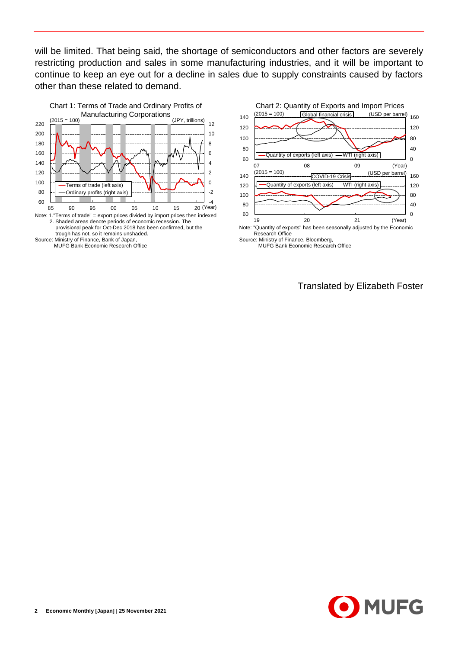will be limited. That being said, the shortage of semiconductors and other factors are severely restricting production and sales in some manufacturing industries, and it will be important to continue to keep an eye out for a decline in sales due to supply constraints caused by factors other than these related to demand.





Translated by Elizabeth Foster

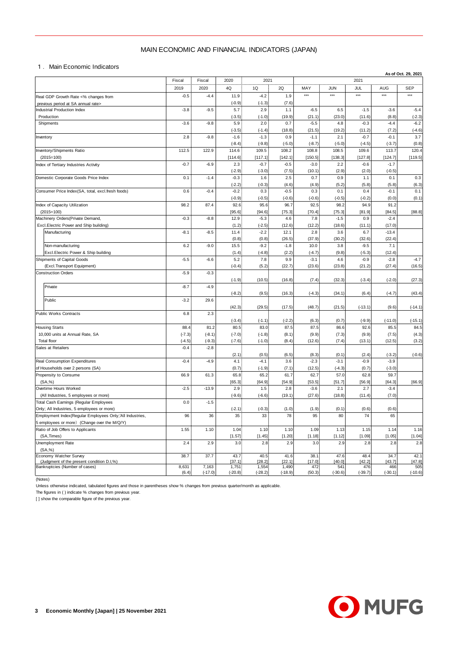## MAIN ECONOMIC AND FINANCIAL INDICATORS (JAPAN)

|                                                                                                        | MAIN ECONOMIC AND FINANCIAL INDICATORS (JAPAN) |                    |                    |                    |                    |                    |                  |                    |                   |                     |
|--------------------------------------------------------------------------------------------------------|------------------------------------------------|--------------------|--------------------|--------------------|--------------------|--------------------|------------------|--------------------|-------------------|---------------------|
| 1. Main Economic Indicators                                                                            |                                                |                    |                    |                    |                    |                    |                  |                    |                   |                     |
|                                                                                                        | Fiscal                                         | Fiscal             | 2020               | 2021               |                    |                    |                  | 2021               |                   | As of Oct. 29, 2021 |
|                                                                                                        | 2019                                           | 2020               | 4Q                 | 1Q                 | 2Q                 | MAY                | <b>JUN</b>       | JUL                | AUG               | <b>SEP</b>          |
| Real GDP Growth Rate <% changes from                                                                   | $-0.5$                                         | $-4.4$             | 11.9               | $-4.2$             | 1.9                | $***$              | $***$            | $***$              | $***$             | ***                 |
| previous period at SA annual rate><br>Industrial Production Index                                      | $-3.8$                                         | $-9.5$             | $(-0.9)$<br>5.7    | $(-1.3)$<br>2.9    | (7.6)<br>1.1       | $-6.5$             | 6.5              | $-1.5$             | $-3.6$            | $-5.4$              |
| Production                                                                                             |                                                |                    | $(-3.5)$           | $(-1.0)$           | (19.9)             | (21.1)             | (23.0)           | (11.6)             | (8.8)             | $(-2.3)$            |
| Shipments                                                                                              | $-3.6$                                         | $-9.8$             | 5.9                | 2.0                | 0.7                | $-5.5$             | 4.8              | $-0.3$             | $-4.4$            | $-6.2$              |
| Inventory                                                                                              | 2.8                                            | $-9.8$             | $(-3.5)$<br>$-1.6$ | $(-1.4)$<br>$-1.3$ | (18.8)<br>0.9      | (21.5)<br>$-1.1$   | (19.2)<br>2.1    | (11.2)<br>$-0.7$   | (7.2)<br>$-0.1$   | $(-4.6)$<br>3.7     |
|                                                                                                        |                                                |                    | $(-8.4)$           | $(-9.8)$           | $(-5.0)$           | $(-8.7)$           | $(-5.0)$         | $(-4.5)$           | $(-3.7)$          | (0.8)               |
| Inventory/Shipments Ratio                                                                              | 112.5                                          | 122.9              | 114.6              | 109.5              | 108.2              | 108.8              | 108.5            | 109.6              | 113.7             | 120.4               |
| $(2015=100)$                                                                                           | $-0.7$                                         | $-6.9$             | [114.6]<br>2.3     | [117.1]<br>$-0.7$  | [142.1]<br>$-0.5$  | [150.5]<br>$-3.0$  | [138.3]          | [127.8]<br>$-0.6$  | [124.7]<br>$-1.7$ | [119.5]             |
| Index of Tertiary Industries Activity                                                                  |                                                |                    | $(-2.9)$           | $(-3.0)$           | (7.5)              | (10.1)             | 2.2<br>(2.9)     | (2.0)              | $(-0.5)$          |                     |
| Domestic Corporate Goods Price Index                                                                   | 0.1                                            | $-1.4$             | $-0.3$             | 1.6                | 2.5                | 0.7                | 0.9              | 1.1                | 0.1               | 0.3                 |
|                                                                                                        |                                                |                    | $(-2.2)$           | $(-0.3)$           | (4.6)              | (4.9)              | (5.2)            | (5.8)              | (5.8)             | (6.3)               |
| Consumer Price Index(SA, total, excl.fresh foods)                                                      | 0.6                                            | $-0.4$             | $-0.2$<br>$(-0.9)$ | 0.3<br>$(-0.5)$    | $-0.5$<br>$(-0.6)$ | 0.3<br>$(-0.6)$    | 0.1<br>$(-0.5)$  | 0.4<br>$(-0.2)$    | $-0.1$<br>(0.0)   | 0.1<br>(0.1)        |
| Index of Capacity Utilization                                                                          | 98.2                                           | 87.4               | 92.6               | 95.6               | 96.7               | 92.5               | 98.2             | 94.9               | 91.2              |                     |
| $(2015=100)$                                                                                           |                                                |                    | [95.6]             | [94.6]             | [75.3]             | [70.4]             | [75.3]           | [81.9]             | [84.5]            | [88.8]              |
| Machinery Orders (Private Demand,<br>Excl.Electric Power and Ship building)                            | $-0.3$                                         | $-8.8$             | 12.9<br>(1.2)      | $-5.3$<br>$(-2.5)$ | 4.6<br>(12.6)      | 7.8<br>(12.2)      | $-1.5$<br>(18.6) | 0.9<br>(11.1)      | $-2.4$<br>(17.0)  |                     |
| Manufacturing                                                                                          | $-8.1$                                         | $-8.5$             | 11.4               | $-2.2$             | 12.1               | 2.8                | 3.6              | 6.7                | $-13.4$           |                     |
|                                                                                                        |                                                |                    | (0.8)              | (0.8)              | (26.5)             | (37.9)             | (30.2)           | (32.6)             | (22.4)            |                     |
| Non-manufacturing                                                                                      | 6.2                                            | $-9.0$             | 15.5               | $-9.2$             | $-1.8$             | 10.0               | 3.8              | $-9.5$             | 7.1               |                     |
| Excl. Electric Power & Ship building<br>Shipments of Capital Goods                                     | $-5.5$                                         | $-6.6$             | (1.4)<br>5.2       | $(-4.8)$<br>7.8    | (2.2)<br>9.9       | $(-4.7)$<br>$-3.1$ | (9.8)<br>4.6     | $(-5.3)$<br>$-0.9$ | (12.4)<br>$-2.8$  | $-4.7$              |
| (Excl.Transport Equipment)                                                                             |                                                |                    | $(-0.4)$           | (5.2)              | (22.7)             | (23.6)             | (23.8)           | (21.2)             | (27.4)            | (16.5)              |
| <b>Construction Orders</b>                                                                             | $-5.9$                                         | $-0.3$             |                    |                    |                    |                    |                  |                    |                   |                     |
|                                                                                                        |                                                |                    | $(-1.9)$           | (10.5)             | (16.8)             | (7.4)              | (32.3)           | $(-3.4)$           | $(-2.0)$          | (27.3)              |
| Private                                                                                                | $-8.7$                                         | $-4.9$             | $(-8.2)$           | (9.5)              | (16.3)             | $(-4.3)$           | (34.1)           | (6.4)              | $(-4.7)$          | (43.4)              |
| Public                                                                                                 | $-3.2$                                         | 29.6               |                    |                    |                    |                    |                  |                    |                   |                     |
|                                                                                                        |                                                |                    | (42.3)             | (29.5)             | (17.5)             | (48.7)             | (21.5)           | $(-13.1)$          | (9.6)             | $(-14.1)$           |
| Public Works Contracts                                                                                 | 6.8                                            | 2.3                | $(-3.4)$           | $(-1.1)$           | $(-2.2)$           | (6.3)              | (0.7)            | $(-9.9)$           | $(-11.0)$         | $(-15.1)$           |
| <b>Housing Starts</b>                                                                                  | 88.4                                           | 81.2               | 80.5               | 83.0               | 87.5               | 87.5               | 86.6             | 92.6               | 85.5              | 84.5                |
| 10,000 units at Annual Rate, SA                                                                        | $(-7.3)$                                       | $(-8.1)$           | $(-7.0)$           | $(-1.8)$           | (8.1)              | (9.9)              | (7.3)            | (9.9)              | (7.5)             | (4.3)               |
| Total floor<br>Sales at Retailers                                                                      | $(-4.5)$<br>$-0.4$                             | $(-9.3)$<br>$-2.8$ | $(-7.6)$           | $(-1.0)$           | (8.4)              | (12.6)             | (7.4)            | (13.1)             | (12.5)            | (3.2)               |
|                                                                                                        |                                                |                    | (2.1)              | (0.5)              | (6.5)              | (8.3)              | (0.1)            | (2.4)              | $(-3.2)$          | $(-0.6)$            |
| Real Consumption Expenditures                                                                          | $-0.4$                                         | $-4.9$             | 4.1                | $-4.1$             | 3.6                | $-2.3$             | $-3.1$           | $-0.9$             | $-3.9$            |                     |
| of Households over 2 persons (SA)                                                                      |                                                |                    | (0.7)              | $(-1.9)$           | (7.1)              | (12.5)             | $(-4.3)$         | (0.7)              | $(-3.0)$          |                     |
| Propensity to Consume<br>(SA, %)                                                                       | 66.9                                           | 61.3               | 65.8<br>[65.3]     | 65.2<br>[64.9]     | 61.7<br>[54.9]     | 62.7<br>[53.5]     | 57.0<br>$[51.7]$ | 62.8<br>[56.9]     | 59.7<br>[64.3]    | [66.9]              |
| Overtime Hours Worked                                                                                  | $-2.5$                                         | $-13.9$            | 2.9                | 1.5                | 2.8                | $-3.6$             | 2.1              | 2.7                | $-3.4$            |                     |
| (All Industries, 5 employees or more)                                                                  |                                                |                    | $(-9.6)$           | $(-6.6)$           | (19.1)             | (27.6)             | (18.8)           | (11.4)             | (7.0)             |                     |
| Total Cash Earnings (Regular Employees                                                                 | 0.0                                            | $-1.5$             |                    |                    |                    |                    |                  |                    |                   |                     |
| Only; All Industries, 5 employees or more)<br>Employment Index(Regular Employees Only;'All Industries, | 96                                             | 36                 | $(-2.1)$<br>35     | $(-0.3)$<br>33     | (1.0)<br>78        | (1.9)<br>95        | (0.1)<br>80      | (0.6)<br>74        | (0.6)<br>65       |                     |
| 5 employees or more) (Change over the M/Q/Y)                                                           |                                                |                    |                    |                    |                    |                    |                  |                    |                   |                     |
| Ratio of Job Offers to Applicants                                                                      | 1.55                                           | 1.10               | 1.04               | 1.10               | 1.10               | 1.09               | 1.13             | 1.15               | 1.14              | 1.16                |
| (SA, Times)<br>Unemployment Rate                                                                       | 2.4                                            | 2.9                | [1.57]<br>3.0      | [1.45]<br>2.8      | [1.20]<br>2.9      | [1.18]<br>3.0      | [1.12]<br>2.9    | [1.09]<br>2.8      | [1.05]<br>2.8     | [1.04]<br>$2.8$     |
| (SA, %)                                                                                                |                                                |                    |                    |                    |                    |                    |                  |                    |                   |                     |
| Economy Watcher Survey                                                                                 | 38.7                                           | 37.7               | 43.7               | 40.5               | 41.6               | 38.1               | 47.6             | 48.4               | 34.7              | 42.1                |
| (Judgment of the present condition D.I,%)<br>Bankruptcies (Number of cases)                            | 8,631                                          | 7,163              | [37.1]<br>1,751    | [28.2]<br>1,554    | [22.1]<br>1,490    | [17.0]<br>472      | [40.0]<br>541    | [42.2]<br>476      | [43.7]<br>466     | [47.8]<br>505       |
|                                                                                                        | (6.4)                                          | $(-17.0)$          | $(-20.8)$          | $(-28.2)$          | $(-18.9)$          | (50.3)             | $(-30.6)$        | $(-39.7)$          | $(-30.1)$         | $(-10.6)$           |

(Notes)

Unless otherwise indicated, tabulated figures and those in parentheses show % changes from previous quarter/month as applicable.

The figures in ( ) indicate % changes from previous year.

[ ] show the comparable figure of the previous year.